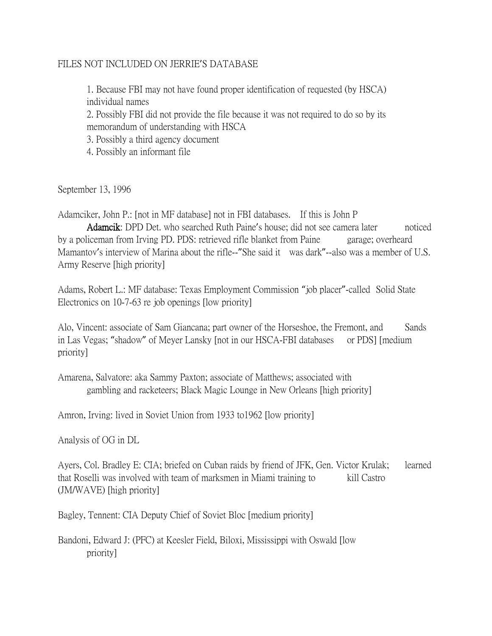## FILES NOT INCLUDED ON JERRIE'S DATABASE

1. Because FBI may not have found proper identification of requested (by HSCA) individual names

2. Possibly FBI did not provide the file because it was not required to do so by its memorandum of understanding with HSCA

3. Possibly a third agency document

4. Possibly an informant file

September 13, 1996

Adamciker, John P.: [not in MF database] not in FBI databases. If this is John P

 Adamcik: DPD Det. who searched Ruth Paine's house; did not see camera later noticed by a policeman from Irving PD. PDS: retrieved rifle blanket from Paine garage; overheard Mamantov's interview of Marina about the rifle--"She said it was dark"--also was a member of U.S. Army Reserve [high priority]

Adams, Robert L.: MF database: Texas Employment Commission "job placer"-called Solid State Electronics on 10-7-63 re job openings [low priority]

Alo, Vincent: associate of Sam Giancana; part owner of the Horseshoe, the Fremont, and Sands in Las Vegas; "shadow" of Meyer Lansky [not in our HSCA-FBI databases or PDS] [medium priority]

Amarena, Salvatore: aka Sammy Paxton; associate of Matthews; associated with gambling and racketeers; Black Magic Lounge in New Orleans [high priority]

Amron, Irving: lived in Soviet Union from 1933 to1962 [low priority]

Analysis of OG in DL

Ayers, Col. Bradley E: CIA; briefed on Cuban raids by friend of JFK, Gen. Victor Krulak; learned that Roselli was involved with team of marksmen in Miami training to kill Castro (JM/WAVE) [high priority]

Bagley, Tennent: CIA Deputy Chief of Soviet Bloc [medium priority]

Bandoni, Edward J: (PFC) at Keesler Field, Biloxi, Mississippi with Oswald [low priority]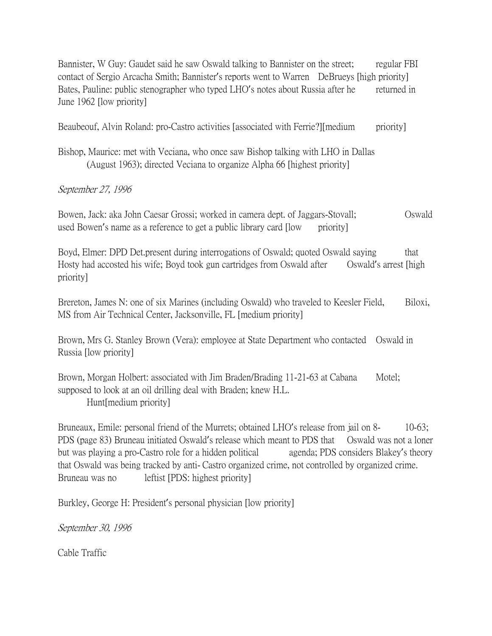Bannister, W Guy: Gaudet said he saw Oswald talking to Bannister on the street; regular FBI contact of Sergio Arcacha Smith; Bannister's reports went to Warren DeBrueys [high priority] Bates, Pauline: public stenographer who typed LHO's notes about Russia after he returned in June 1962 [low priority]

Beaubeouf, Alvin Roland: pro-Castro activities [associated with Ferrie?][medium priority]

Bishop, Maurice: met with Veciana, who once saw Bishop talking with LHO in Dallas (August 1963); directed Veciana to organize Alpha 66 [highest priority]

## September 27, 1996

Bowen, Jack: aka John Caesar Grossi; worked in camera dept. of Jaggars-Stovall; Oswald used Bowen's name as a reference to get a public library card  $[low$  priority

Boyd, Elmer: DPD Det.present during interrogations of Oswald; quoted Oswald saying that Hosty had accosted his wife; Boyd took gun cartridges from Oswald after Oswald's arrest [high priority]

Brereton, James N: one of six Marines (including Oswald) who traveled to Keesler Field, Biloxi, MS from Air Technical Center, Jacksonville, FL [medium priority]

Brown, Mrs G. Stanley Brown (Vera): employee at State Department who contacted Oswald in Russia [low priority]

Brown, Morgan Holbert: associated with Jim Braden/Brading 11-21-63 at Cabana Motel; supposed to look at an oil drilling deal with Braden; knew H.L. Hunt[medium priority]

Bruneaux, Emile: personal friend of the Murrets; obtained LHO's release from jail on 8- 10-63; PDS (page 83) Bruneau initiated Oswald's release which meant to PDS that Oswald was not a loner but was playing a pro-Castro role for a hidden political agenda; PDS considers Blakey's theory that Oswald was being tracked by anti- Castro organized crime, not controlled by organized crime. Bruneau was no leftist [PDS: highest priority]

Burkley, George H: President's personal physician [low priority]

September 30, 1996

Cable Traffic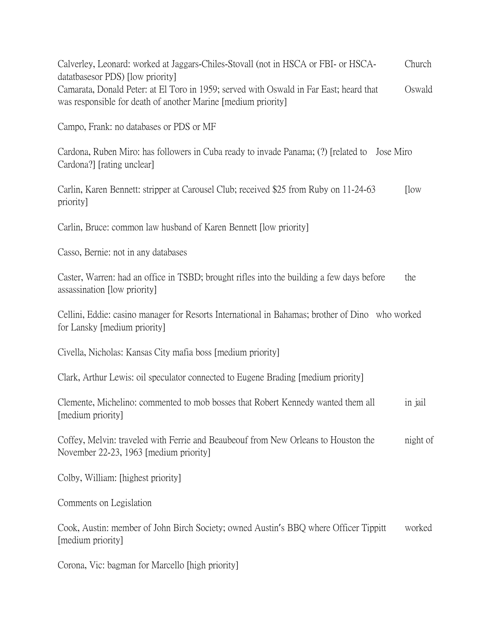Calverley, Leonard: worked at Jaggars-Chiles-Stovall (not in HSCA or FBI- or HSCA- Church datatbasesor PDS) [low priority] Camarata, Donald Peter: at El Toro in 1959; served with Oswald in Far East; heard that Oswald was responsible for death of another Marine [medium priority]

Campo, Frank: no databases or PDS or MF

Cardona, Ruben Miro: has followers in Cuba ready to invade Panama; (?) [related to Jose Miro Cardona?] [rating unclear]

Carlin, Karen Bennett: stripper at Carousel Club; received \$25 from Ruby on 11-24-63 [low priority]

Carlin, Bruce: common law husband of Karen Bennett [low priority]

Casso, Bernie: not in any databases

Caster, Warren: had an office in TSBD; brought rifles into the building a few days before the assassination [low priority]

Cellini, Eddie: casino manager for Resorts International in Bahamas; brother of Dino who worked for Lansky [medium priority]

Civella, Nicholas: Kansas City mafia boss [medium priority]

Clark, Arthur Lewis: oil speculator connected to Eugene Brading [medium priority]

Clemente, Michelino: commented to mob bosses that Robert Kennedy wanted them all in jail [medium priority]

Coffey, Melvin: traveled with Ferrie and Beaubeouf from New Orleans to Houston the night of November 22-23, 1963 [medium priority]

Colby, William: [highest priority]

Comments on Legislation

Cook, Austin: member of John Birch Society; owned Austin's BBQ where Officer Tippitt worked [medium priority]

Corona, Vic: bagman for Marcello [high priority]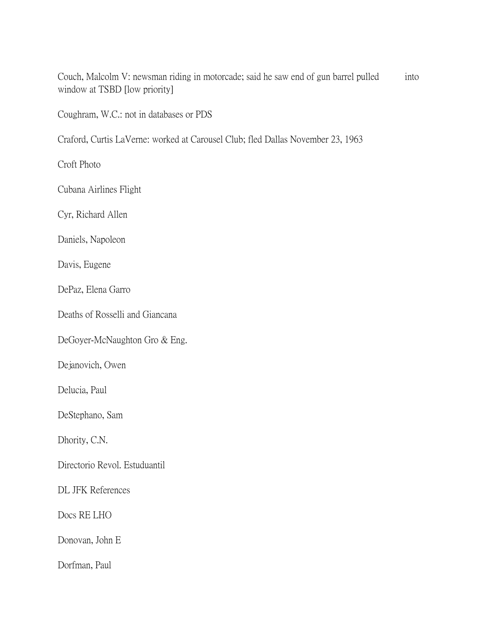Couch, Malcolm V: newsman riding in motorcade; said he saw end of gun barrel pulled into window at TSBD [low priority]

Coughram, W.C.: not in databases or PDS

Craford, Curtis LaVerne: worked at Carousel Club; fled Dallas November 23, 1963

Croft Photo

Cubana Airlines Flight

Cyr, Richard Allen

Daniels, Napoleon

Davis, Eugene

DePaz, Elena Garro

Deaths of Rosselli and Giancana

DeGoyer-McNaughton Gro & Eng.

Dejanovich, Owen

Delucia, Paul

DeStephano, Sam

Dhority, C.N.

Directorio Revol. Estuduantil

DL JFK References

Docs RE LHO

Donovan, John E

Dorfman, Paul